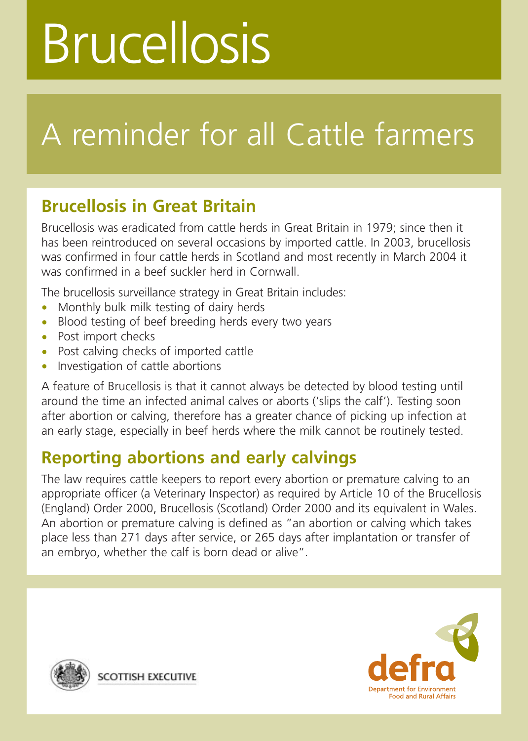# Brucellosis

## A reminder for all Cattle farmers

### **Brucellosis in Great Britain**

Brucellosis was eradicated from cattle herds in Great Britain in 1979; since then it has been reintroduced on several occasions by imported cattle. In 2003, brucellosis was confirmed in four cattle herds in Scotland and most recently in March 2004 it was confirmed in a beef suckler herd in Cornwall.

The brucellosis surveillance strategy in Great Britain includes:

- Monthly bulk milk testing of dairy herds
- Blood testing of beef breeding herds every two years
- Post import checks
- Post calving checks of imported cattle
- Investigation of cattle abortions

A feature of Brucellosis is that it cannot always be detected by blood testing until around the time an infected animal calves or aborts ('slips the calf'). Testing soon after abortion or calving, therefore has a greater chance of picking up infection at an early stage, especially in beef herds where the milk cannot be routinely tested.

### **Reporting abortions and early calvings**

The law requires cattle keepers to report every abortion or premature calving to an appropriate officer (a Veterinary Inspector) as required by Article 10 of the Brucellosis (England) Order 2000, Brucellosis (Scotland) Order 2000 and its equivalent in Wales. An abortion or premature calving is defined as "an abortion or calving which takes place less than 271 days after service, or 265 days after implantation or transfer of an embryo, whether the calf is born dead or alive".